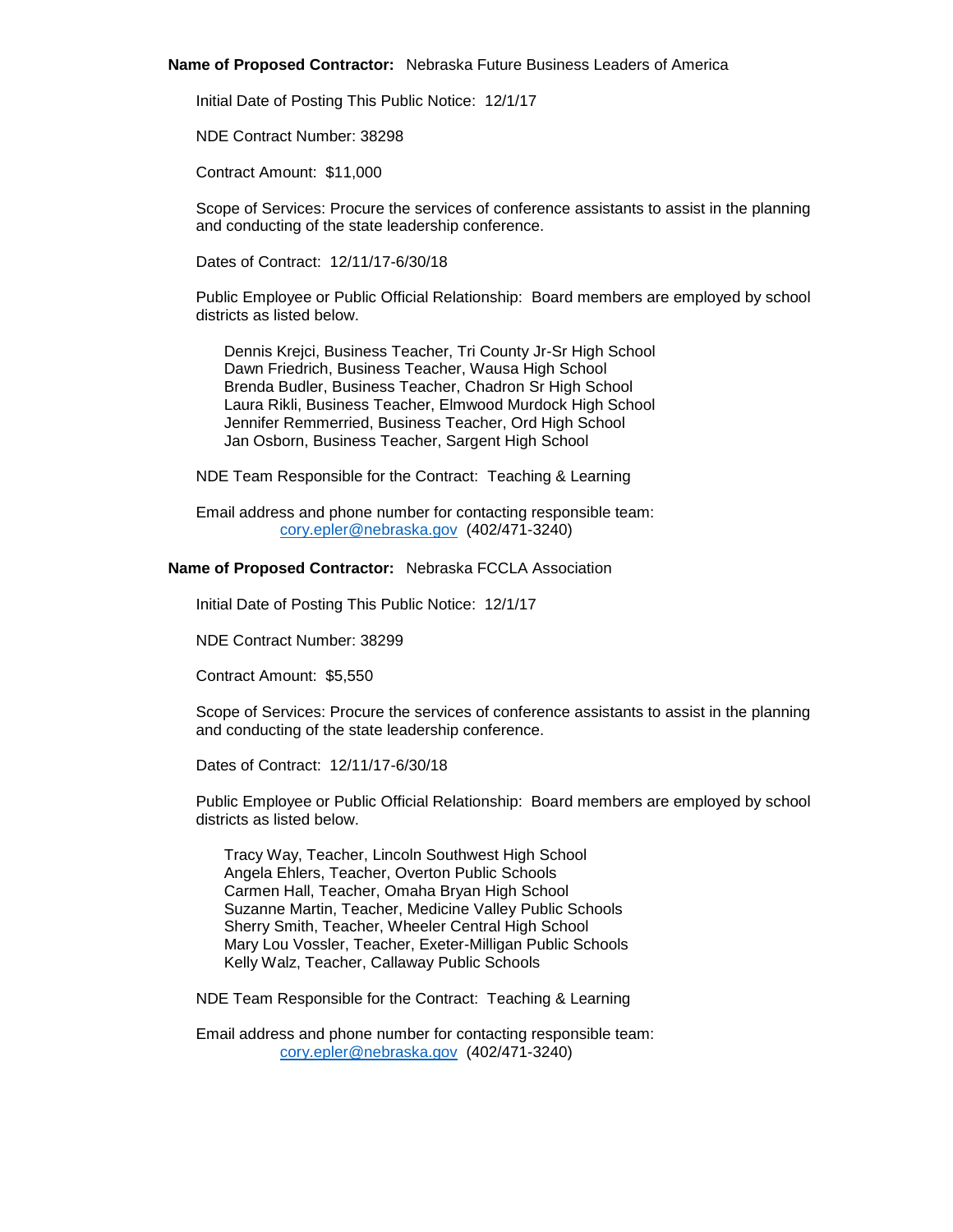#### **Name of Proposed Contractor:** Nebraska Future Business Leaders of America

Initial Date of Posting This Public Notice: 12/1/17

NDE Contract Number: 38298

Contract Amount: \$11,000

Scope of Services: Procure the services of conference assistants to assist in the planning and conducting of the state leadership conference.

Dates of Contract: 12/11/17-6/30/18

Public Employee or Public Official Relationship: Board members are employed by school districts as listed below.

Dennis Krejci, Business Teacher, Tri County Jr-Sr High School Dawn Friedrich, Business Teacher, Wausa High School Brenda Budler, Business Teacher, Chadron Sr High School Laura Rikli, Business Teacher, Elmwood Murdock High School Jennifer Remmerried, Business Teacher, Ord High School Jan Osborn, Business Teacher, Sargent High School

NDE Team Responsible for the Contract: Teaching & Learning

Email address and phone number for contacting responsible team: [cory.epler@nebraska.gov](mailto:cory.epler@nebraska.gov) (402/471-3240)

## **Name of Proposed Contractor:** Nebraska FCCLA Association

Initial Date of Posting This Public Notice: 12/1/17

NDE Contract Number: 38299

Contract Amount: \$5,550

Scope of Services: Procure the services of conference assistants to assist in the planning and conducting of the state leadership conference.

Dates of Contract: 12/11/17-6/30/18

Public Employee or Public Official Relationship: Board members are employed by school districts as listed below.

Tracy Way, Teacher, Lincoln Southwest High School Angela Ehlers, Teacher, Overton Public Schools Carmen Hall, Teacher, Omaha Bryan High School Suzanne Martin, Teacher, Medicine Valley Public Schools Sherry Smith, Teacher, Wheeler Central High School Mary Lou Vossler, Teacher, Exeter-Milligan Public Schools Kelly Walz, Teacher, Callaway Public Schools

NDE Team Responsible for the Contract: Teaching & Learning

Email address and phone number for contacting responsible team: [cory.epler@nebraska.gov](mailto:cory.epler@nebraska.gov) (402/471-3240)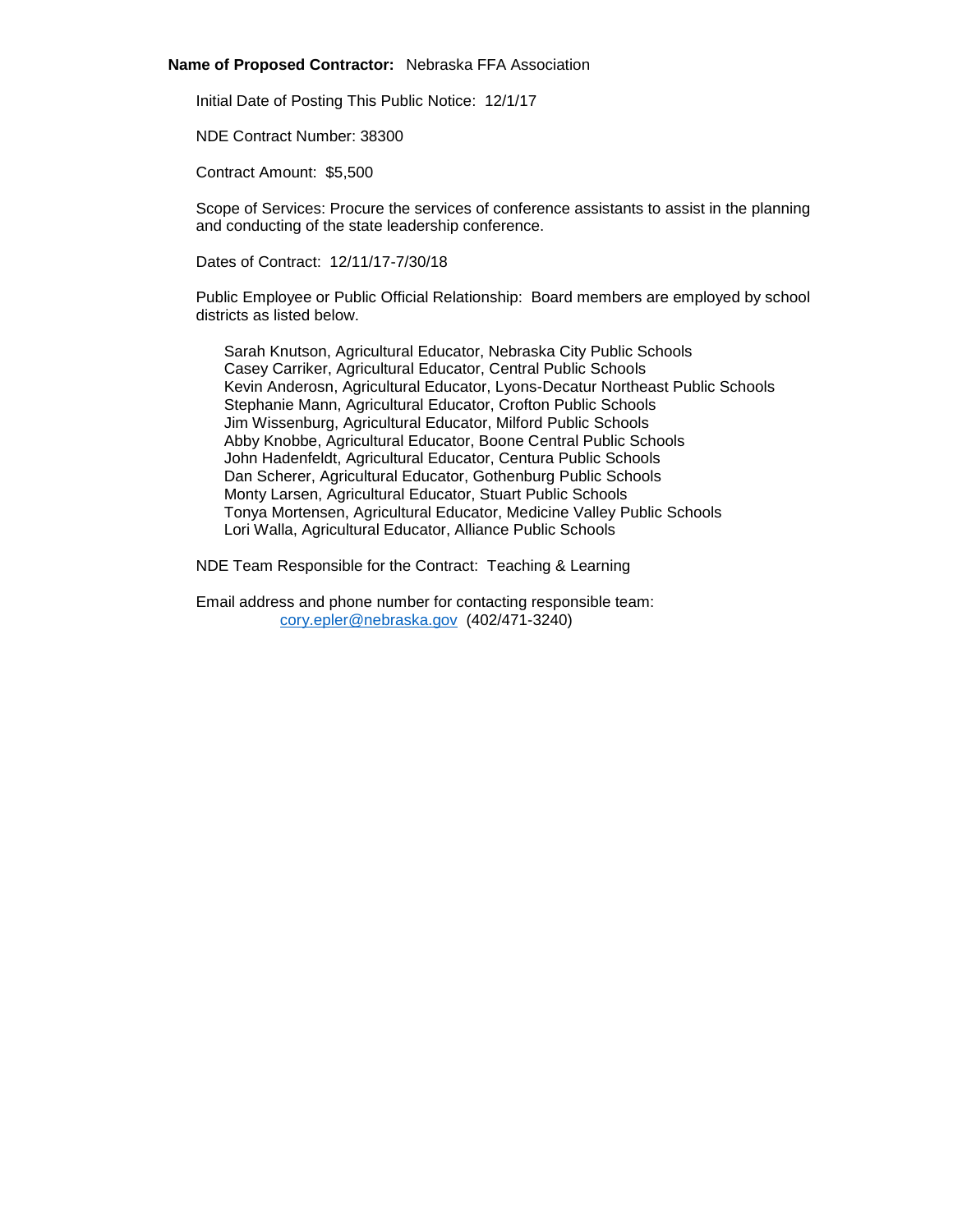#### **Name of Proposed Contractor:** Nebraska FFA Association

Initial Date of Posting This Public Notice: 12/1/17

NDE Contract Number: 38300

Contract Amount: \$5,500

Scope of Services: Procure the services of conference assistants to assist in the planning and conducting of the state leadership conference.

Dates of Contract: 12/11/17-7/30/18

Public Employee or Public Official Relationship: Board members are employed by school districts as listed below.

Sarah Knutson, Agricultural Educator, Nebraska City Public Schools Casey Carriker, Agricultural Educator, Central Public Schools Kevin Anderosn, Agricultural Educator, Lyons-Decatur Northeast Public Schools Stephanie Mann, Agricultural Educator, Crofton Public Schools Jim Wissenburg, Agricultural Educator, Milford Public Schools Abby Knobbe, Agricultural Educator, Boone Central Public Schools John Hadenfeldt, Agricultural Educator, Centura Public Schools Dan Scherer, Agricultural Educator, Gothenburg Public Schools Monty Larsen, Agricultural Educator, Stuart Public Schools Tonya Mortensen, Agricultural Educator, Medicine Valley Public Schools Lori Walla, Agricultural Educator, Alliance Public Schools

NDE Team Responsible for the Contract: Teaching & Learning

Email address and phone number for contacting responsible team: [cory.epler@nebraska.gov](mailto:cory.epler@nebraska.gov) (402/471-3240)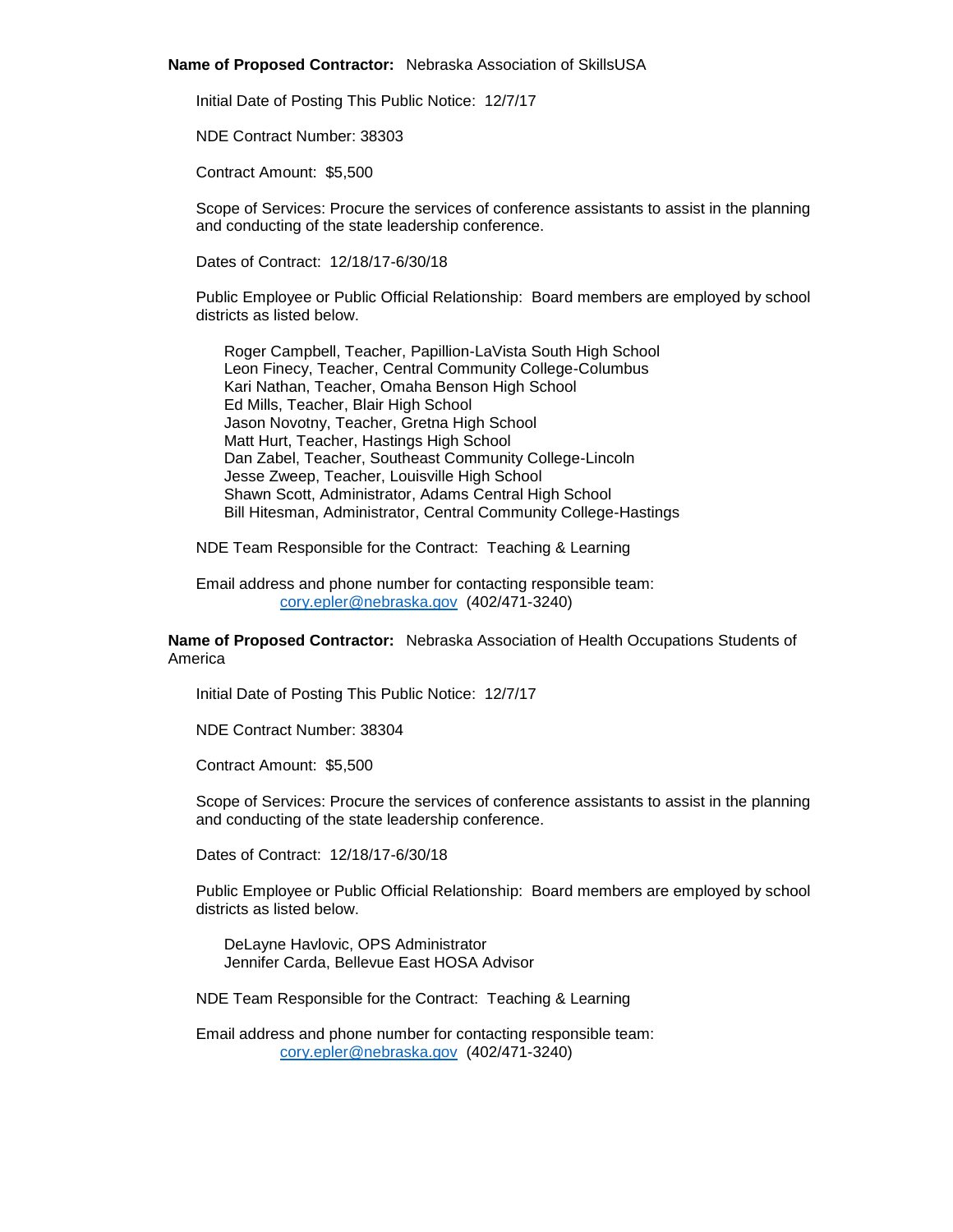#### **Name of Proposed Contractor:** Nebraska Association of SkillsUSA

Initial Date of Posting This Public Notice: 12/7/17

NDE Contract Number: 38303

Contract Amount: \$5,500

Scope of Services: Procure the services of conference assistants to assist in the planning and conducting of the state leadership conference.

Dates of Contract: 12/18/17-6/30/18

Public Employee or Public Official Relationship: Board members are employed by school districts as listed below.

Roger Campbell, Teacher, Papillion-LaVista South High School Leon Finecy, Teacher, Central Community College-Columbus Kari Nathan, Teacher, Omaha Benson High School Ed Mills, Teacher, Blair High School Jason Novotny, Teacher, Gretna High School Matt Hurt, Teacher, Hastings High School Dan Zabel, Teacher, Southeast Community College-Lincoln Jesse Zweep, Teacher, Louisville High School Shawn Scott, Administrator, Adams Central High School Bill Hitesman, Administrator, Central Community College-Hastings

NDE Team Responsible for the Contract: Teaching & Learning

Email address and phone number for contacting responsible team: [cory.epler@nebraska.gov](mailto:cory.epler@nebraska.gov) (402/471-3240)

# **Name of Proposed Contractor:** Nebraska Association of Health Occupations Students of America

Initial Date of Posting This Public Notice: 12/7/17

NDE Contract Number: 38304

Contract Amount: \$5,500

Scope of Services: Procure the services of conference assistants to assist in the planning and conducting of the state leadership conference.

Dates of Contract: 12/18/17-6/30/18

Public Employee or Public Official Relationship: Board members are employed by school districts as listed below.

DeLayne Havlovic, OPS Administrator Jennifer Carda, Bellevue East HOSA Advisor

NDE Team Responsible for the Contract: Teaching & Learning

Email address and phone number for contacting responsible team: [cory.epler@nebraska.gov](mailto:cory.epler@nebraska.gov) (402/471-3240)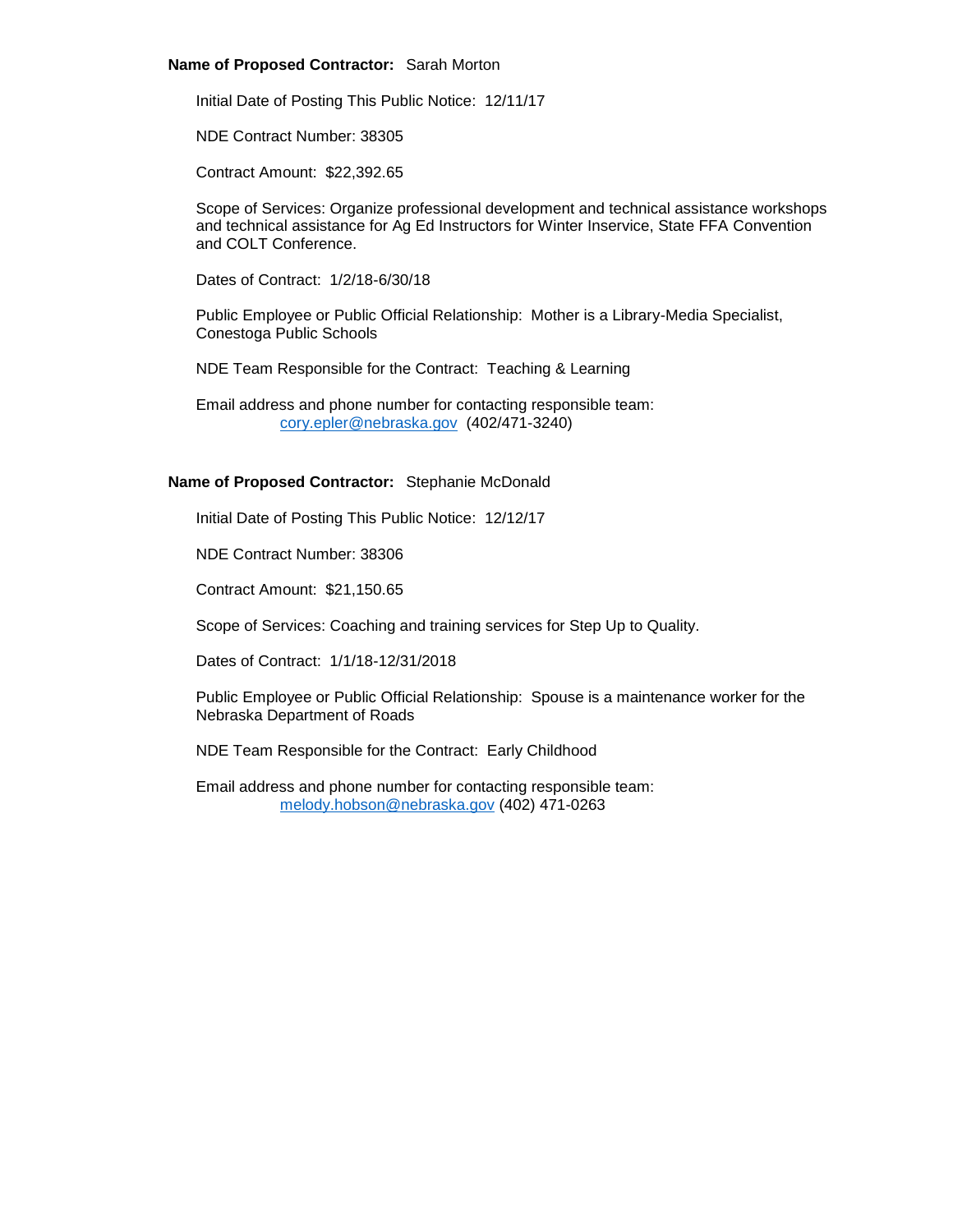# **Name of Proposed Contractor:** Sarah Morton

Initial Date of Posting This Public Notice: 12/11/17

NDE Contract Number: 38305

Contract Amount: \$22,392.65

Scope of Services: Organize professional development and technical assistance workshops and technical assistance for Ag Ed Instructors for Winter Inservice, State FFA Convention and COLT Conference.

Dates of Contract: 1/2/18-6/30/18

Public Employee or Public Official Relationship: Mother is a Library-Media Specialist, Conestoga Public Schools

NDE Team Responsible for the Contract: Teaching & Learning

Email address and phone number for contacting responsible team: [cory.epler@nebraska.gov](mailto:cory.epler@nebraska.gov) (402/471-3240)

# **Name of Proposed Contractor:** Stephanie McDonald

Initial Date of Posting This Public Notice: 12/12/17

NDE Contract Number: 38306

Contract Amount: \$21,150.65

Scope of Services: Coaching and training services for Step Up to Quality.

Dates of Contract: 1/1/18-12/31/2018

Public Employee or Public Official Relationship: Spouse is a maintenance worker for the Nebraska Department of Roads

NDE Team Responsible for the Contract: Early Childhood

Email address and phone number for contacting responsible team: [melody.hobson@nebraska.gov](mailto:melody.hobson@nebraska.gov) (402) 471-0263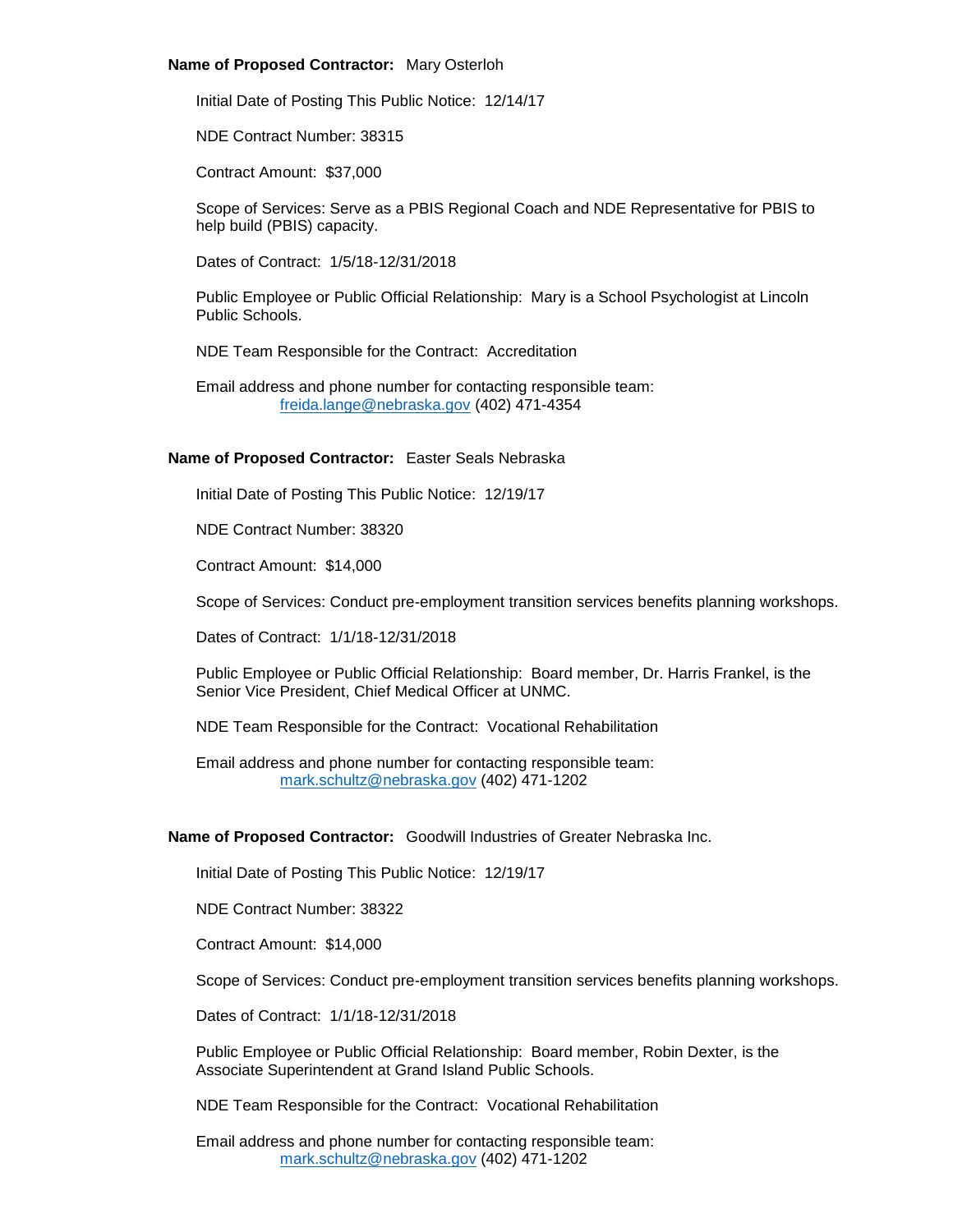# **Name of Proposed Contractor:** Mary Osterloh

Initial Date of Posting This Public Notice: 12/14/17

NDE Contract Number: 38315

Contract Amount: \$37,000

Scope of Services: Serve as a PBIS Regional Coach and NDE Representative for PBIS to help build (PBIS) capacity.

Dates of Contract: 1/5/18-12/31/2018

Public Employee or Public Official Relationship: Mary is a School Psychologist at Lincoln Public Schools.

NDE Team Responsible for the Contract: Accreditation

Email address and phone number for contacting responsible team: [freida.lange@nebraska.gov](mailto:freida.lange@nebraska.gov) (402) 471-4354

# **Name of Proposed Contractor:** Easter Seals Nebraska

Initial Date of Posting This Public Notice: 12/19/17

NDE Contract Number: 38320

Contract Amount: \$14,000

Scope of Services: Conduct pre-employment transition services benefits planning workshops.

Dates of Contract: 1/1/18-12/31/2018

Public Employee or Public Official Relationship: Board member, Dr. Harris Frankel, is the Senior Vice President, Chief Medical Officer at UNMC.

NDE Team Responsible for the Contract: Vocational Rehabilitation

Email address and phone number for contacting responsible team: [mark.schultz@nebraska.gov](mailto:mark.schultz@nebraska.gov) (402) 471-1202

# **Name of Proposed Contractor:** Goodwill Industries of Greater Nebraska Inc.

Initial Date of Posting This Public Notice: 12/19/17

NDE Contract Number: 38322

Contract Amount: \$14,000

Scope of Services: Conduct pre-employment transition services benefits planning workshops.

Dates of Contract: 1/1/18-12/31/2018

Public Employee or Public Official Relationship: Board member, Robin Dexter, is the Associate Superintendent at Grand Island Public Schools.

NDE Team Responsible for the Contract: Vocational Rehabilitation

Email address and phone number for contacting responsible team: [mark.schultz@nebraska.gov](mailto:mark.schultz@nebraska.gov) (402) 471-1202